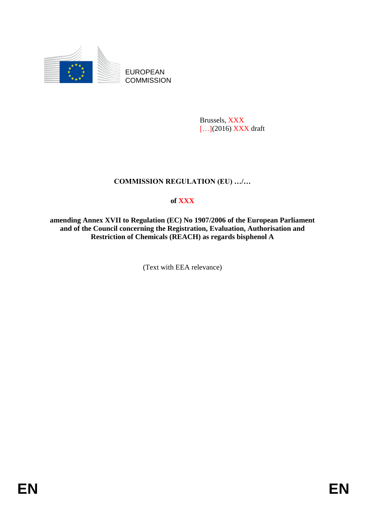

EUROPEAN **COMMISSION** 

> Brussels, XXX [...](2016) XXX draft

# **COMMISSION REGULATION (EU) …/…**

# **of XXX**

**amending Annex XVII to Regulation (EC) No 1907/2006 of the European Parliament and of the Council concerning the Registration, Evaluation, Authorisation and Restriction of Chemicals (REACH) as regards bisphenol A**

(Text with EEA relevance)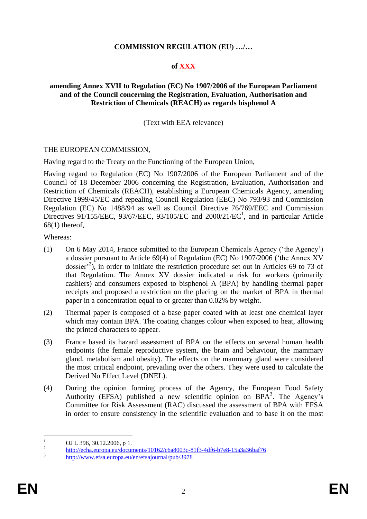### **COMMISSION REGULATION (EU) …/…**

#### **of XXX**

#### **amending Annex XVII to Regulation (EC) No 1907/2006 of the European Parliament and of the Council concerning the Registration, Evaluation, Authorisation and Restriction of Chemicals (REACH) as regards bisphenol A**

### (Text with EEA relevance)

#### THE EUROPEAN COMMISSION,

Having regard to the Treaty on the Functioning of the European Union,

Having regard to Regulation (EC) No 1907/2006 of the European Parliament and of the Council of 18 December 2006 concerning the Registration, Evaluation, Authorisation and Restriction of Chemicals (REACH), establishing a European Chemicals Agency, amending Directive 1999/45/EC and repealing Council Regulation (EEC) No 793/93 and Commission Regulation (EC) No 1488/94 as well as Council Directive 76/769/EEC and Commission Directives 91/155/EEC, 93/67/EEC, 93/105/EC and 2000/21/EC<sup>1</sup>, and in particular Article 68(1) thereof,

Whereas:

- (1) On 6 May 2014, France submitted to the European Chemicals Agency ('the Agency') a dossier pursuant to Article 69(4) of Regulation (EC) No 1907/2006 ('the Annex XV dossier<sup>22</sup>), in order to initiate the restriction procedure set out in Articles 69 to 73 of that Regulation. The Annex XV dossier indicated a risk for workers (primarily cashiers) and consumers exposed to bisphenol A (BPA) by handling thermal paper receipts and proposed a restriction on the placing on the market of BPA in thermal paper in a concentration equal to or greater than 0.02% by weight.
- (2) Thermal paper is composed of a base paper coated with at least one chemical layer which may contain BPA. The coating changes colour when exposed to heat, allowing the printed characters to appear.
- (3) France based its hazard assessment of BPA on the effects on several human health endpoints (the female reproductive system, the brain and behaviour, the mammary gland, metabolism and obesity). The effects on the mammary gland were considered the most critical endpoint, prevailing over the others. They were used to calculate the Derived No Effect Level (DNEL).
- (4) During the opinion forming process of the Agency, the European Food Safety Authority (EFSA) published a new scientific opinion on  $B\overline{PA}^3$ . The Agency's Committee for Risk Assessment (RAC) discussed the assessment of BPA with EFSA in order to ensure consistency in the scientific evaluation and to base it on the most

 $\overline{1}$ <sup>1</sup> OJ L 396, 30.12.2006, p 1.

<sup>2</sup> <http://echa.europa.eu/documents/10162/c6a8003c-81f3-4df6-b7e8-15a3a36baf76>

<sup>3</sup> <http://www.efsa.europa.eu/en/efsajournal/pub/3978>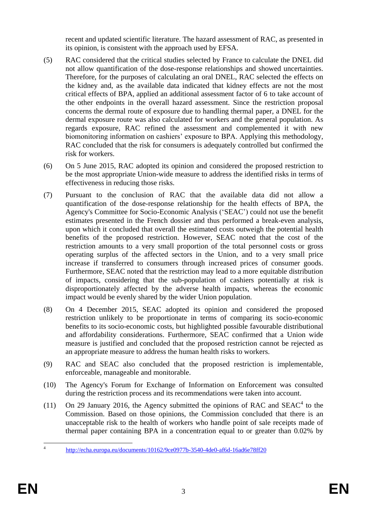recent and updated scientific literature. The hazard assessment of RAC, as presented in its opinion, is consistent with the approach used by EFSA.

- (5) RAC considered that the critical studies selected by France to calculate the DNEL did not allow quantification of the dose-response relationships and showed uncertainties. Therefore, for the purposes of calculating an oral DNEL, RAC selected the effects on the kidney and, as the available data indicated that kidney effects are not the most critical effects of BPA, applied an additional assessment factor of 6 to take account of the other endpoints in the overall hazard assessment. Since the restriction proposal concerns the dermal route of exposure due to handling thermal paper, a DNEL for the dermal exposure route was also calculated for workers and the general population. As regards exposure, RAC refined the assessment and complemented it with new biomonitoring information on cashiers' exposure to BPA. Applying this methodology, RAC concluded that the risk for consumers is adequately controlled but confirmed the risk for workers.
- (6) On 5 June 2015, RAC adopted its opinion and considered the proposed restriction to be the most appropriate Union-wide measure to address the identified risks in terms of effectiveness in reducing those risks.
- (7) Pursuant to the conclusion of RAC that the available data did not allow a quantification of the dose-response relationship for the health effects of BPA, the Agency's Committee for Socio-Economic Analysis ('SEAC') could not use the benefit estimates presented in the French dossier and thus performed a break-even analysis, upon which it concluded that overall the estimated costs outweigh the potential health benefits of the proposed restriction. However, SEAC noted that the cost of the restriction amounts to a very small proportion of the total personnel costs or gross operating surplus of the affected sectors in the Union, and to a very small price increase if transferred to consumers through increased prices of consumer goods. Furthermore, SEAC noted that the restriction may lead to a more equitable distribution of impacts, considering that the sub-population of cashiers potentially at risk is disproportionately affected by the adverse health impacts, whereas the economic impact would be evenly shared by the wider Union population.
- (8) On 4 December 2015, SEAC adopted its opinion and considered the proposed restriction unlikely to be proportionate in terms of comparing its socio-economic benefits to its socio-economic costs, but highlighted possible favourable distributional and affordability considerations. Furthermore, SEAC confirmed that a Union wide measure is justified and concluded that the proposed restriction cannot be rejected as an appropriate measure to address the human health risks to workers.
- (9) RAC and SEAC also concluded that the proposed restriction is implementable, enforceable, manageable and monitorable.
- (10) The Agency's Forum for Exchange of Information on Enforcement was consulted during the restriction process and its recommendations were taken into account.
- (11) On 29 January 2016, the Agency submitted the opinions of RAC and SEAC<sup>4</sup> to the Commission. Based on those opinions, the Commission concluded that there is an unacceptable risk to the health of workers who handle point of sale receipts made of thermal paper containing BPA in a concentration equal to or greater than 0.02% by

 $\frac{1}{4}$ <http://echa.europa.eu/documents/10162/9ce0977b-3540-4de0-af6d-16ad6e78ff20>